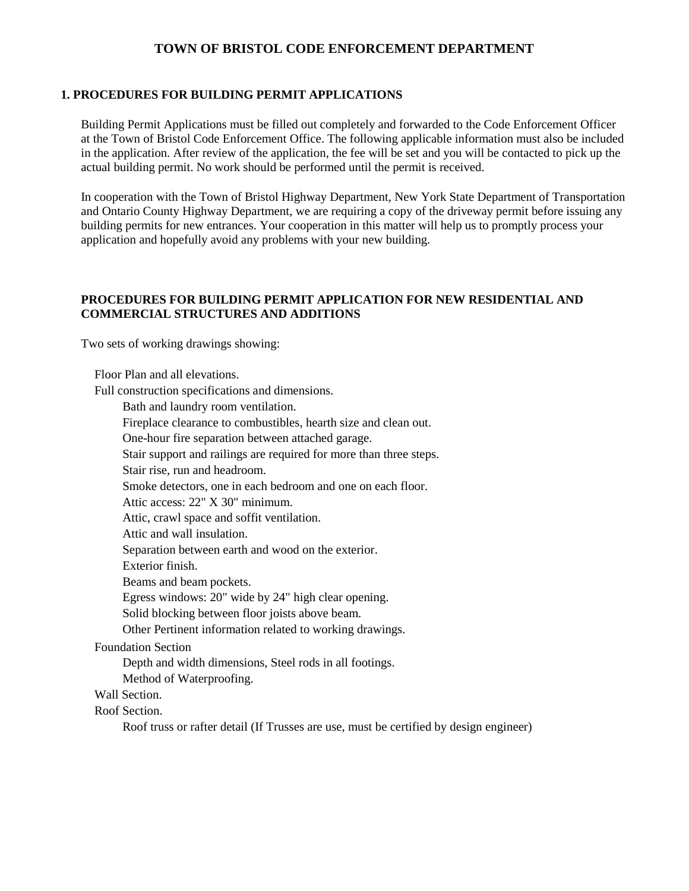# **TOWN OF BRISTOL CODE ENFORCEMENT DEPARTMENT**

#### **1. PROCEDURES FOR BUILDING PERMIT APPLICATIONS**

Building Permit Applications must be filled out completely and forwarded to the Code Enforcement Officer at the Town of Bristol Code Enforcement Office. The following applicable information must also be included in the application. After review of the application, the fee will be set and you will be contacted to pick up the actual building permit. No work should be performed until the permit is received.

In cooperation with the Town of Bristol Highway Department, New York State Department of Transportation and Ontario County Highway Department, we are requiring a copy of the driveway permit before issuing any building permits for new entrances. Your cooperation in this matter will help us to promptly process your application and hopefully avoid any problems with your new building.

### **PROCEDURES FOR BUILDING PERMIT APPLICATION FOR NEW RESIDENTIAL AND COMMERCIAL STRUCTURES AND ADDITIONS**

Two sets of working drawings showing:

Floor Plan and all elevations. Full construction specifications and dimensions.

Bath and laundry room ventilation. Fireplace clearance to combustibles, hearth size and clean out. One-hour fire separation between attached garage. Stair support and railings are required for more than three steps. Stair rise, run and headroom. Smoke detectors, one in each bedroom and one on each floor. Attic access: 22" X 30" minimum. Attic, crawl space and soffit ventilation. Attic and wall insulation. Separation between earth and wood on the exterior. Exterior finish. Beams and beam pockets. Egress windows: 20" wide by 24" high clear opening. Solid blocking between floor joists above beam. Other Pertinent information related to working drawings. Foundation Section Depth and width dimensions, Steel rods in all footings. Method of Waterproofing.

Wall Section.

Roof Section.

Roof truss or rafter detail (If Trusses are use, must be certified by design engineer)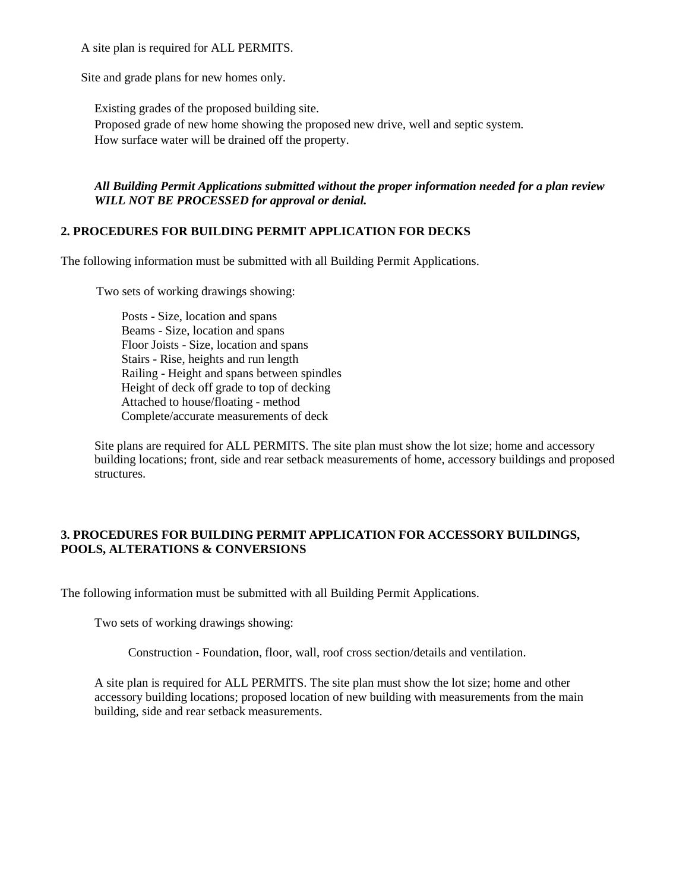A site plan is required for ALL PERMITS.

Site and grade plans for new homes only.

Existing grades of the proposed building site. Proposed grade of new home showing the proposed new drive, well and septic system. How surface water will be drained off the property.

# *All Building Permit Applications submitted without the proper information needed for a plan review WILL NOT BE PROCESSED for approval or denial.*

# **2. PROCEDURES FOR BUILDING PERMIT APPLICATION FOR DECKS**

The following information must be submitted with all Building Permit Applications.

Two sets of working drawings showing:

Posts - Size, location and spans Beams - Size, location and spans Floor Joists - Size, location and spans Stairs - Rise, heights and run length Railing - Height and spans between spindles Height of deck off grade to top of decking Attached to house/floating - method Complete/accurate measurements of deck

Site plans are required for ALL PERMITS. The site plan must show the lot size; home and accessory building locations; front, side and rear setback measurements of home, accessory buildings and proposed structures.

# **3. PROCEDURES FOR BUILDING PERMIT APPLICATION FOR ACCESSORY BUILDINGS, POOLS, ALTERATIONS & CONVERSIONS**

The following information must be submitted with all Building Permit Applications.

Two sets of working drawings showing:

Construction - Foundation, floor, wall, roof cross section/details and ventilation.

A site plan is required for ALL PERMITS. The site plan must show the lot size; home and other accessory building locations; proposed location of new building with measurements from the main building, side and rear setback measurements.